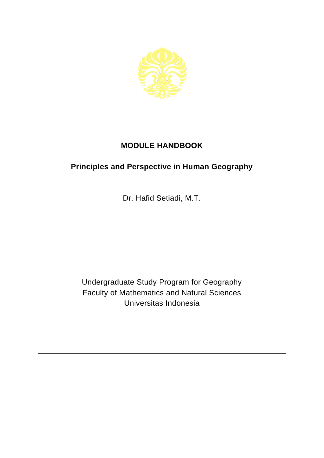

## **MODULE HANDBOOK**

## **Principles and Perspective in Human Geography**

Dr. Hafid Setiadi, M.T.

Undergraduate Study Program for Geography Faculty of Mathematics and Natural Sciences Universitas Indonesia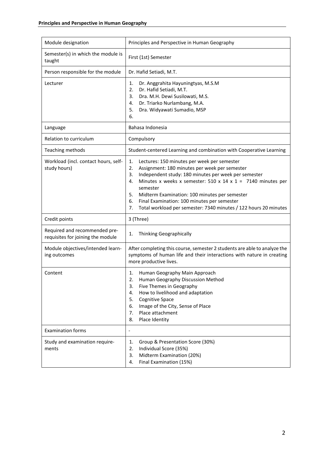| Module designation                                                 | Principles and Perspective in Human Geography                                                                                                                                                                                                                                                                                                                                                                                                 |
|--------------------------------------------------------------------|-----------------------------------------------------------------------------------------------------------------------------------------------------------------------------------------------------------------------------------------------------------------------------------------------------------------------------------------------------------------------------------------------------------------------------------------------|
| Semester(s) in which the module is<br>taught                       | First (1st) Semester                                                                                                                                                                                                                                                                                                                                                                                                                          |
| Person responsible for the module                                  | Dr. Hafid Setiadi, M.T.                                                                                                                                                                                                                                                                                                                                                                                                                       |
| Lecturer                                                           | Dr. Anggrahita Hayuningtyas, M.S.M<br>1.<br>Dr. Hafid Setiadi, M.T.<br>2.<br>Dra. M.H. Dewi Susilowati, M.S.<br>3.<br>Dr. Triarko Nurlambang, M.A.<br>4.<br>5.<br>Dra. Widyawati Sumadio, MSP<br>6.                                                                                                                                                                                                                                           |
| Language                                                           | Bahasa Indonesia                                                                                                                                                                                                                                                                                                                                                                                                                              |
| Relation to curriculum                                             | Compulsory                                                                                                                                                                                                                                                                                                                                                                                                                                    |
| Teaching methods                                                   | Student-centered Learning and combination with Cooperative Learning                                                                                                                                                                                                                                                                                                                                                                           |
| Workload (incl. contact hours, self-<br>study hours)               | Lectures: 150 minutes per week per semester<br>1.<br>Assignment: 180 minutes per week per semester<br>2.<br>Independent study: 180 minutes per week per semester<br>3.<br>Minutes x weeks x semester: 510 x 14 x 1 = 7140 minutes per<br>4.<br>semester<br>5.<br>Midterm Examination: 100 minutes per semester<br>Final Examination: 100 minutes per semester<br>6.<br>Total workload per semester: 7340 minutes / 122 hours 20 minutes<br>7. |
| Credit points                                                      | 3 (Three)                                                                                                                                                                                                                                                                                                                                                                                                                                     |
| Required and recommended pre-<br>requisites for joining the module | Thinking Geographically<br>1.                                                                                                                                                                                                                                                                                                                                                                                                                 |
| Module objectives/intended learn-<br>ing outcomes                  | After completing this course, semester 2 students are able to analyze the<br>symptoms of human life and their interactions with nature in creating<br>more productive lives.                                                                                                                                                                                                                                                                  |
| Content                                                            | Human Geography Main Approach<br>1.<br>2.<br>Human Geography Discussion Method<br>Five Themes in Geography<br>3.<br>How to livelihood and adaptation<br>4.<br>5.<br>Cognitive Space<br>Image of the City, Sense of Place<br>6.<br>Place attachment<br>7.<br>Place Identity<br>8.                                                                                                                                                              |
| <b>Examination forms</b>                                           | $\qquad \qquad \blacksquare$                                                                                                                                                                                                                                                                                                                                                                                                                  |
| Study and examination require-<br>ments                            | Group & Presentation Score (30%)<br>1.<br>Individual Score (35%)<br>2.<br>Midterm Examination (20%)<br>3.<br>Final Examination (15%)<br>4.                                                                                                                                                                                                                                                                                                    |